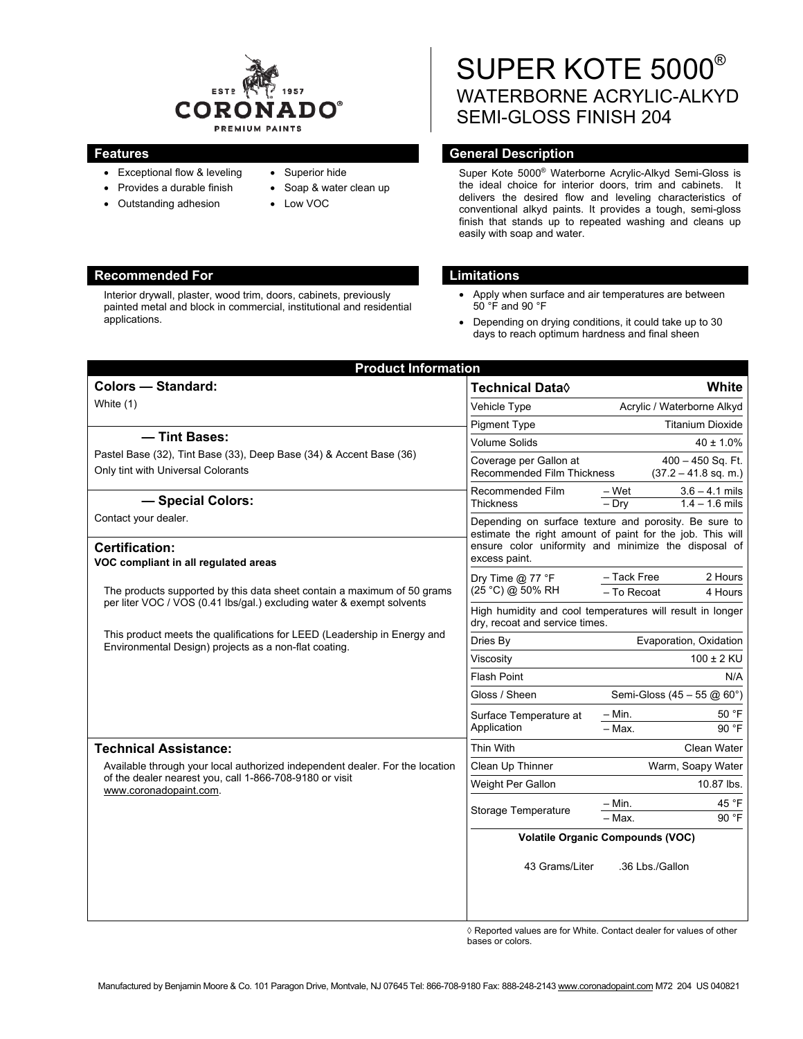

- Exceptional flow & leveling
- Provides a durable finish
- Outstanding adhesion
- Superior hide
- Soap & water clean up
- Low VOC

# SUPER KOTE 5000® WATERBORNE ACRYLIC-ALKYD SEMI-GLOSS FINISH 204

# **Features General Description Ceneral Description**

Super Kote 5000® Waterborne Acrylic-Alkyd Semi-Gloss is the ideal choice for interior doors, trim and cabinets. It delivers the desired flow and leveling characteristics of conventional alkyd paints. It provides a tough, semi-gloss finish that stands up to repeated washing and cleans up easily with soap and water.

#### **Recommended For Limitations 2018**

- Apply when surface and air temperatures are between 50 °F and 90 °F
- Depending on drying conditions, it could take up to 30 days to reach optimum hardness and final sheen

| <b>Product Information</b>                                                                                                                                                                                                                                                            |                                                                                                                                                                                             |                                               |
|---------------------------------------------------------------------------------------------------------------------------------------------------------------------------------------------------------------------------------------------------------------------------------------|---------------------------------------------------------------------------------------------------------------------------------------------------------------------------------------------|-----------------------------------------------|
| <b>Colors - Standard:</b>                                                                                                                                                                                                                                                             | <b>Technical Data</b> ♦                                                                                                                                                                     | White                                         |
| White (1)                                                                                                                                                                                                                                                                             | Vehicle Type                                                                                                                                                                                | Acrylic / Waterborne Alkyd                    |
|                                                                                                                                                                                                                                                                                       | <b>Pigment Type</b>                                                                                                                                                                         | <b>Titanium Dioxide</b>                       |
| - Tint Bases:                                                                                                                                                                                                                                                                         | <b>Volume Solids</b>                                                                                                                                                                        | $40 \pm 1.0\%$                                |
| Pastel Base (32), Tint Base (33), Deep Base (34) & Accent Base (36)<br>Only tint with Universal Colorants                                                                                                                                                                             | Coverage per Gallon at<br>Recommended Film Thickness                                                                                                                                        | $400 - 450$ Sq. Ft.<br>$(37.2 - 41.8$ sq. m.) |
| - Special Colors:                                                                                                                                                                                                                                                                     | Recommended Film<br>– Wet<br>Thickness<br>$-$ Dry                                                                                                                                           | $3.6 - 4.1$ mils<br>$1.4 - 1.6$ mils          |
| Contact your dealer.                                                                                                                                                                                                                                                                  | Depending on surface texture and porosity. Be sure to<br>estimate the right amount of paint for the job. This will<br>ensure color uniformity and minimize the disposal of<br>excess paint. |                                               |
| <b>Certification:</b><br>VOC compliant in all regulated areas                                                                                                                                                                                                                         |                                                                                                                                                                                             |                                               |
| The products supported by this data sheet contain a maximum of 50 grams<br>per liter VOC / VOS (0.41 lbs/gal.) excluding water & exempt solvents<br>This product meets the qualifications for LEED (Leadership in Energy and<br>Environmental Design) projects as a non-flat coating. | - Tack Free<br>Dry Time $@$ 77 °F<br>(25 °C) @ 50% RH<br>- To Recoat                                                                                                                        | 2 Hours<br>4 Hours                            |
|                                                                                                                                                                                                                                                                                       | High humidity and cool temperatures will result in longer<br>dry, recoat and service times.                                                                                                 |                                               |
|                                                                                                                                                                                                                                                                                       | Dries By                                                                                                                                                                                    | Evaporation, Oxidation                        |
|                                                                                                                                                                                                                                                                                       | $100 \pm 2$ KU<br>Viscosity                                                                                                                                                                 |                                               |
|                                                                                                                                                                                                                                                                                       | <b>Flash Point</b>                                                                                                                                                                          | N/A                                           |
|                                                                                                                                                                                                                                                                                       | Gloss / Sheen                                                                                                                                                                               | Semi-Gloss (45 - 55 @ $60^{\circ}$ )          |
|                                                                                                                                                                                                                                                                                       | $- Min.$<br>Surface Temperature at                                                                                                                                                          | 50 °F                                         |
|                                                                                                                                                                                                                                                                                       | Application<br>$-$ Max.                                                                                                                                                                     | 90 °F                                         |
| <b>Technical Assistance:</b>                                                                                                                                                                                                                                                          | Thin With                                                                                                                                                                                   | Clean Water                                   |
| Available through your local authorized independent dealer. For the location<br>of the dealer nearest you, call 1-866-708-9180 or visit<br>www.coronadopaint.com.                                                                                                                     | Clean Up Thinner                                                                                                                                                                            | Warm, Soapy Water                             |
|                                                                                                                                                                                                                                                                                       | Weight Per Gallon                                                                                                                                                                           | 10.87 lbs.                                    |
|                                                                                                                                                                                                                                                                                       | $- Min.$<br>Storage Temperature                                                                                                                                                             | 45 °F                                         |
|                                                                                                                                                                                                                                                                                       | $-$ Max.                                                                                                                                                                                    | 90 °F                                         |
|                                                                                                                                                                                                                                                                                       | <b>Volatile Organic Compounds (VOC)</b>                                                                                                                                                     |                                               |
|                                                                                                                                                                                                                                                                                       | 43 Grams/Liter                                                                                                                                                                              | .36 Lbs./Gallon                               |
|                                                                                                                                                                                                                                                                                       |                                                                                                                                                                                             |                                               |

◊ Reported values are for White. Contact dealer for values of other bases or colors.

Interior drywall, plaster, wood trim, doors, cabinets, previously painted metal and block in commercial, institutional and residential applications.